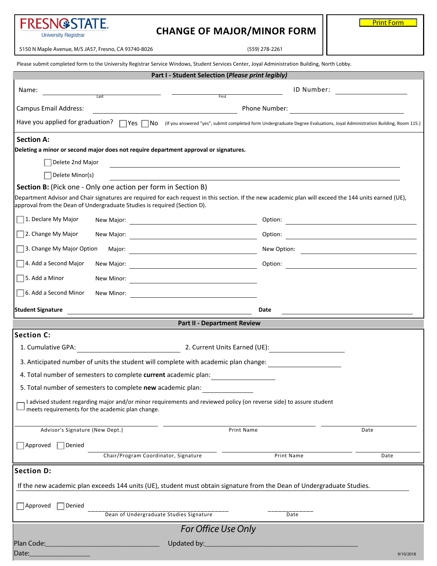| FRESN@STATE.<br><b>University Registrar</b>                                                                                                                                                                                        | <b>CHANGE OF MAJOR/MINOR FORM</b>                                                 |                               | <b>Print Form</b> |
|------------------------------------------------------------------------------------------------------------------------------------------------------------------------------------------------------------------------------------|-----------------------------------------------------------------------------------|-------------------------------|-------------------|
| 5150 N Maple Avenue, M/S JA57, Fresno, CA 93740-8026                                                                                                                                                                               |                                                                                   | (559) 278-2261                |                   |
| Please submit completed form to the University Registrar Service Windows, Student Services Center, Joyal Administration Building, North Lobby.                                                                                     |                                                                                   |                               |                   |
|                                                                                                                                                                                                                                    | Part I - Student Selection (Please print legibly)                                 |                               |                   |
| Name:                                                                                                                                                                                                                              |                                                                                   | ID Number:                    |                   |
| Last                                                                                                                                                                                                                               | First                                                                             |                               |                   |
| Campus Email Address:                                                                                                                                                                                                              | the control of the control of the control of the control of the control of        | Phone Number:                 |                   |
| Have you applied for graduation?<br>TYes  No (If you answered "yes", submit completed form Undergraduate Degree Evaluations, Joyal Administration Building, Room 115.)                                                             |                                                                                   |                               |                   |
| <b>Section A:</b><br>Deleting a minor or second major does not require department approval or signatures.                                                                                                                          |                                                                                   |                               |                   |
| Delete 2nd Major                                                                                                                                                                                                                   |                                                                                   |                               |                   |
| Delete Minor(s)                                                                                                                                                                                                                    | ,我们也不会有什么。""我们的人,我们也不会有什么?""我们的人,我们也不会有什么?""我们的人,我们的人,我们也不会有什么?""我们的人,我们的人,我们的人,我 |                               |                   |
| Section B: (Pick one - Only one action per form in Section B)                                                                                                                                                                      |                                                                                   |                               |                   |
| Department Advisor and Chair signatures are required for each request in this section. If the new academic plan will exceed the 144 units earned (UE),<br>approval from the Dean of Undergraduate Studies is required (Section D). |                                                                                   |                               |                   |
| 1. Declare My Major                                                                                                                                                                                                                |                                                                                   |                               | Option:           |
| $\Box$ 2. Change My Major                                                                                                                                                                                                          |                                                                                   |                               | Option:           |
| 3. Change My Major Option                                                                                                                                                                                                          |                                                                                   |                               |                   |
| $\Box$ 4. Add a Second Major                                                                                                                                                                                                       |                                                                                   |                               | Option:           |
| $\Box$ 5. Add a Minor                                                                                                                                                                                                              |                                                                                   |                               |                   |
| 6. Add a Second Minor                                                                                                                                                                                                              |                                                                                   |                               |                   |
| <b>Student Signature</b>                                                                                                                                                                                                           |                                                                                   | Date                          |                   |
|                                                                                                                                                                                                                                    | <b>Part II - Department Review</b>                                                |                               |                   |
| <b>Section C:</b>                                                                                                                                                                                                                  |                                                                                   |                               |                   |
| 1. Cumulative GPA:<br><u> 1980 - Jan Barnett, fransk politik (</u>                                                                                                                                                                 |                                                                                   | 2. Current Units Earned (UE): |                   |
| 3. Anticipated number of units the student will complete with academic plan change:                                                                                                                                                |                                                                                   |                               |                   |
| 4. Total number of semesters to complete current academic plan:                                                                                                                                                                    |                                                                                   |                               |                   |
| 5. Total number of semesters to complete new academic plan:                                                                                                                                                                        |                                                                                   |                               |                   |
| I advised student regarding major and/or minor requirements and reviewed policy (on reverse side) to assure student<br>meets requirements for the academic plan change.                                                            |                                                                                   |                               |                   |
| Advisor's Signature (New Dept.)                                                                                                                                                                                                    |                                                                                   | Print Name                    | Date              |
| $\Box$ Approved<br>Denied                                                                                                                                                                                                          |                                                                                   |                               |                   |
|                                                                                                                                                                                                                                    | Chair/Program Coordinator, Signature                                              | Print Name                    | Date              |
| <b>Section D:</b>                                                                                                                                                                                                                  |                                                                                   |                               |                   |
| If the new academic plan exceeds 144 units (UE), student must obtain signature from the Dean of Undergraduate Studies.                                                                                                             |                                                                                   |                               |                   |
| $\Box$ Approved<br>Denied                                                                                                                                                                                                          | Dean of Undergraduate Studies Signature                                           | Date                          |                   |
| For Office Use Only                                                                                                                                                                                                                |                                                                                   |                               |                   |
|                                                                                                                                                                                                                                    |                                                                                   |                               |                   |
| Date:                                                                                                                                                                                                                              |                                                                                   |                               | 9/10/2018         |